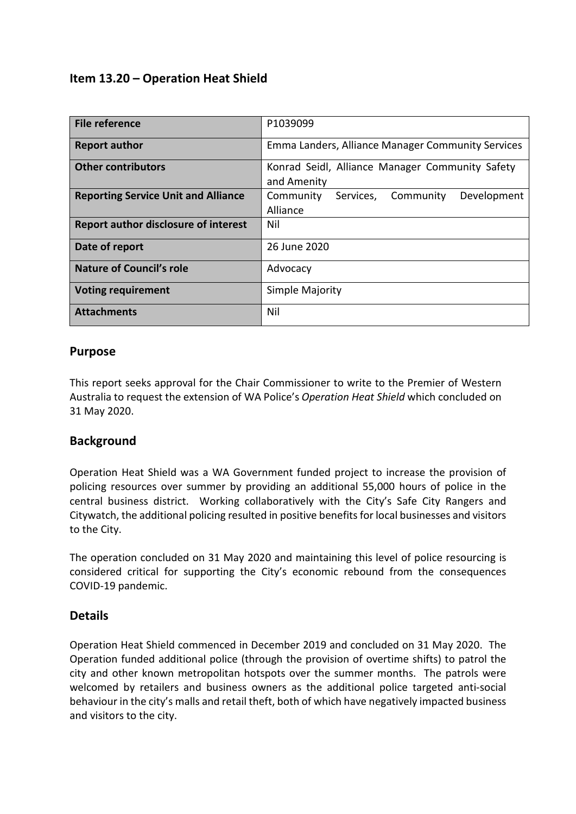# **Item 13.20 – Operation Heat Shield**

| <b>File reference</b>                       | P1039099                                                       |  |  |
|---------------------------------------------|----------------------------------------------------------------|--|--|
| <b>Report author</b>                        | Emma Landers, Alliance Manager Community Services              |  |  |
| <b>Other contributors</b>                   | Konrad Seidl, Alliance Manager Community Safety<br>and Amenity |  |  |
| <b>Reporting Service Unit and Alliance</b>  | Community<br>Development<br>Community<br>Services,<br>Alliance |  |  |
| <b>Report author disclosure of interest</b> | Nil                                                            |  |  |
| Date of report                              | 26 June 2020                                                   |  |  |
| <b>Nature of Council's role</b>             | Advocacy                                                       |  |  |
| <b>Voting requirement</b>                   | Simple Majority                                                |  |  |
| <b>Attachments</b>                          | Nil                                                            |  |  |

### **Purpose**

This report seeks approval for the Chair Commissioner to write to the Premier of Western Australia to request the extension of WA Police's *Operation Heat Shield* which concluded on 31 May 2020.

## **Background**

Operation Heat Shield was a WA Government funded project to increase the provision of policing resources over summer by providing an additional 55,000 hours of police in the central business district. Working collaboratively with the City's Safe City Rangers and Citywatch, the additional policing resulted in positive benefits for local businesses and visitors to the City.

The operation concluded on 31 May 2020 and maintaining this level of police resourcing is considered critical for supporting the City's economic rebound from the consequences COVID-19 pandemic.

#### **Details**

Operation Heat Shield commenced in December 2019 and concluded on 31 May 2020. The Operation funded additional police (through the provision of overtime shifts) to patrol the city and other known metropolitan hotspots over the summer months. The patrols were welcomed by retailers and business owners as the additional police targeted anti-social behaviour in the city's malls and retail theft, both of which have negatively impacted business and visitors to the city.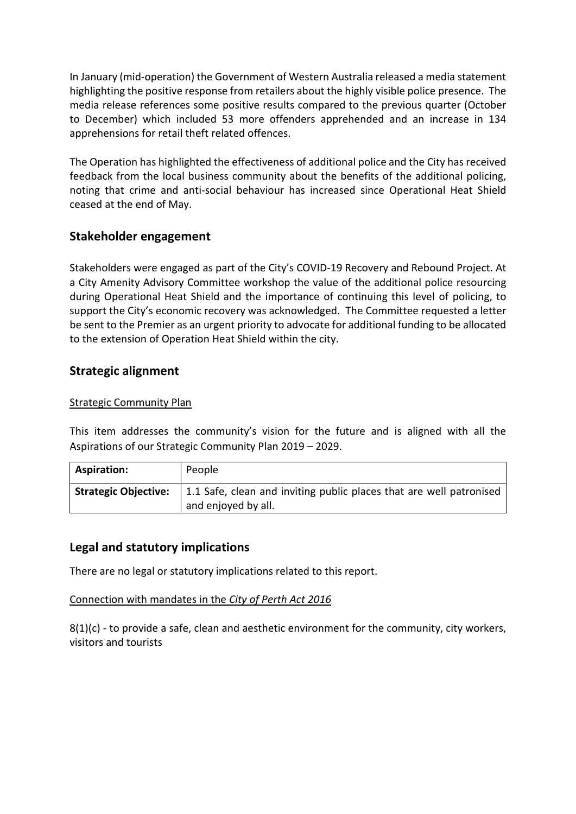In January (mid-operation) the Government of Western Australia released a media statement highlighting the positive response from retailers about the highly visible police presence. The media release references some positive results compared to the previous quarter (October to December) which included 53 more offenders apprehended and an increase in 134 apprehensions for retail theft related offences.

The Operation has highlighted the effectiveness of additional police and the City has received feedback from the local business community about the benefits of the additional policing, noting that crime and anti-social behaviour has increased since Operational Heat Shield ceased at the end of May.

## **Stakeholder engagement**

Stakeholders were engaged as part of the City's COVID-19 Recovery and Rebound Project. At a City Amenity Advisory Committee workshop the value of the additional police resourcing during Operational Heat Shield and the importance of continuing this level of policing, to support the City's economic recovery was acknowledged. The Committee requested a letter be sent to the Premier as an urgent priority to advocate for additional funding to be allocated to the extension of Operation Heat Shield within the city.

## **Strategic alignment**

#### Strategic Community Plan

This item addresses the community's vision for the future and is aligned with all the Aspirations of our Strategic Community Plan 2019 – 2029.

| Aspiration:                 | People                                                                                     |
|-----------------------------|--------------------------------------------------------------------------------------------|
| <b>Strategic Objective:</b> | 1.1 Safe, clean and inviting public places that are well patronised<br>and enjoyed by all. |

## **Legal and statutory implications**

There are no legal or statutory implications related to this report.

#### Connection with mandates in the *City of Perth Act 2016*

 $8(1)(c)$  - to provide a safe, clean and aesthetic environment for the community, city workers, visitors and tourists